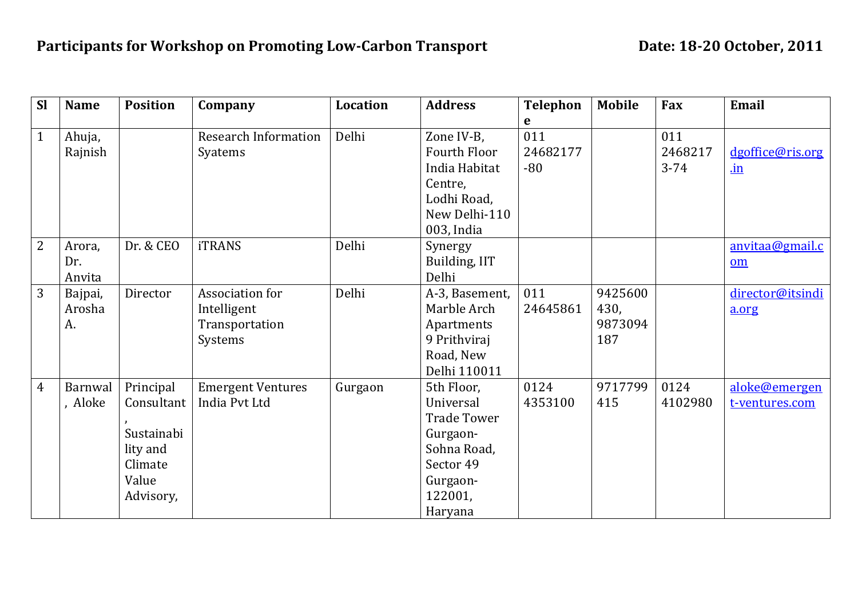| <b>Sl</b>      | <b>Name</b> | <b>Position</b> | Company                     | <b>Location</b> | <b>Address</b>         | <b>Telephon</b> | <b>Mobile</b> | Fax      | Email            |
|----------------|-------------|-----------------|-----------------------------|-----------------|------------------------|-----------------|---------------|----------|------------------|
|                |             |                 |                             |                 |                        | e               |               |          |                  |
| $\mathbf{1}$   | Ahuja,      |                 | <b>Research Information</b> | Delhi           | Zone IV-B,             | 011             |               | 011      |                  |
|                | Rajnish     |                 | Syatems                     |                 | Fourth Floor           | 24682177        |               | 2468217  | dgoffice@ris.org |
|                |             |                 |                             |                 | India Habitat          | $-80$           |               | $3 - 74$ | $\mathbf{in}$    |
|                |             |                 |                             |                 | Centre,<br>Lodhi Road, |                 |               |          |                  |
|                |             |                 |                             |                 | New Delhi-110          |                 |               |          |                  |
|                |             |                 |                             |                 | 003, India             |                 |               |          |                  |
| $\overline{2}$ | Arora,      | Dr. & CEO       | <b>iTRANS</b>               | Delhi           | Synergy                |                 |               |          | anvitaa@gmail.c  |
|                | Dr.         |                 |                             |                 | Building, IIT          |                 |               |          | om               |
|                | Anvita      |                 |                             |                 | Delhi                  |                 |               |          |                  |
| 3              | Bajpai,     | Director        | Association for             | Delhi           | A-3, Basement,         | 011             | 9425600       |          | director@itsindi |
|                | Arosha      |                 | Intelligent                 |                 | Marble Arch            | 24645861        | 430,          |          | a.org            |
|                | A.          |                 | Transportation              |                 | Apartments             |                 | 9873094       |          |                  |
|                |             |                 | Systems                     |                 | 9 Prithviraj           |                 | 187           |          |                  |
|                |             |                 |                             |                 | Road, New              |                 |               |          |                  |
|                |             |                 |                             |                 | Delhi 110011           |                 |               |          |                  |
| 4              | Barnwal     | Principal       | <b>Emergent Ventures</b>    | Gurgaon         | 5th Floor,             | 0124            | 9717799       | 0124     | aloke@emergen    |
|                | , Aloke     | Consultant      | India Pvt Ltd               |                 | Universal              | 4353100         | 415           | 4102980  | t-ventures.com   |
|                |             |                 |                             |                 | <b>Trade Tower</b>     |                 |               |          |                  |
|                |             | Sustainabi      |                             |                 | Gurgaon-               |                 |               |          |                  |
|                |             | lity and        |                             |                 | Sohna Road,            |                 |               |          |                  |
|                |             | Climate         |                             |                 | Sector 49              |                 |               |          |                  |
|                |             | Value           |                             |                 | Gurgaon-               |                 |               |          |                  |
|                |             | Advisory,       |                             |                 | 122001,                |                 |               |          |                  |
|                |             |                 |                             |                 | Haryana                |                 |               |          |                  |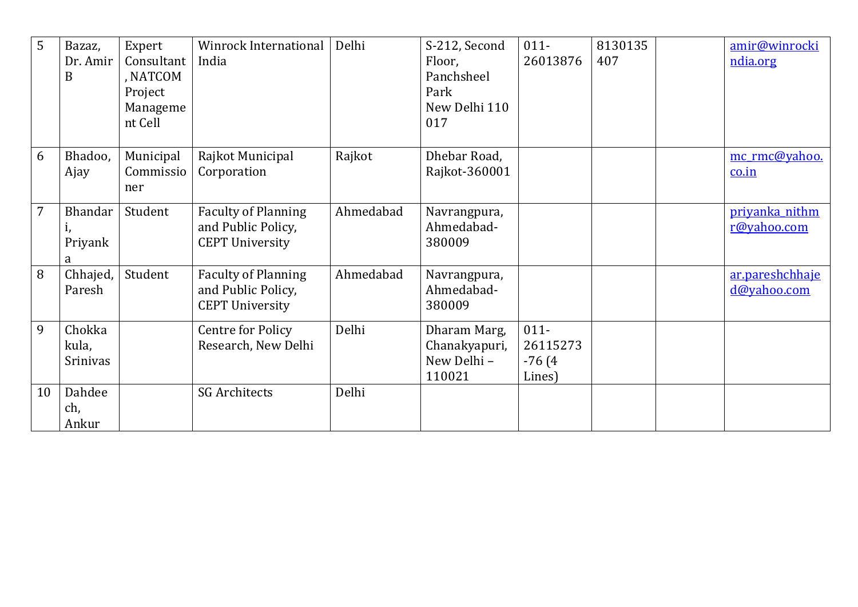| 5              | Bazaz,         | Expert     | Winrock International      | Delhi     | S-212, Second | $011 -$  | 8130135 | amir@winrocki   |
|----------------|----------------|------------|----------------------------|-----------|---------------|----------|---------|-----------------|
|                | Dr. Amir       | Consultant | India                      |           | Floor,        | 26013876 | 407     | ndia.org        |
|                | B              | , NATCOM   |                            |           | Panchsheel    |          |         |                 |
|                |                | Project    |                            |           | Park          |          |         |                 |
|                |                | Manageme   |                            |           | New Delhi 110 |          |         |                 |
|                |                | nt Cell    |                            |           | 017           |          |         |                 |
|                |                |            |                            |           |               |          |         |                 |
| 6              | Bhadoo,        | Municipal  | Rajkot Municipal           | Rajkot    | Dhebar Road,  |          |         | mc rmc@yahoo.   |
|                | Ajay           | Commissio  | Corporation                |           | Rajkot-360001 |          |         | co.in           |
|                |                | ner        |                            |           |               |          |         |                 |
| $\overline{7}$ | <b>Bhandar</b> | Student    | <b>Faculty of Planning</b> | Ahmedabad | Navrangpura,  |          |         | priyanka_nithm  |
|                |                |            | and Public Policy,         |           | Ahmedabad-    |          |         | r@yahoo.com     |
|                | Priyank        |            | <b>CEPT University</b>     |           | 380009        |          |         |                 |
|                | a              |            |                            |           |               |          |         |                 |
| 8              | Chhajed,       | Student    | <b>Faculty of Planning</b> | Ahmedabad | Navrangpura,  |          |         | ar.pareshchhaje |
|                | Paresh         |            | and Public Policy,         |           | Ahmedabad-    |          |         | d@yahoo.com     |
|                |                |            | <b>CEPT University</b>     |           | 380009        |          |         |                 |
| 9              | Chokka         |            | <b>Centre for Policy</b>   | Delhi     | Dharam Marg,  | $011 -$  |         |                 |
|                | kula,          |            | Research, New Delhi        |           | Chanakyapuri, | 26115273 |         |                 |
|                | Srinivas       |            |                            |           | New Delhi -   | $-76(4)$ |         |                 |
|                |                |            |                            |           | 110021        | Lines)   |         |                 |
| 10             | Dahdee         |            | <b>SG Architects</b>       | Delhi     |               |          |         |                 |
|                | ch,            |            |                            |           |               |          |         |                 |
|                | Ankur          |            |                            |           |               |          |         |                 |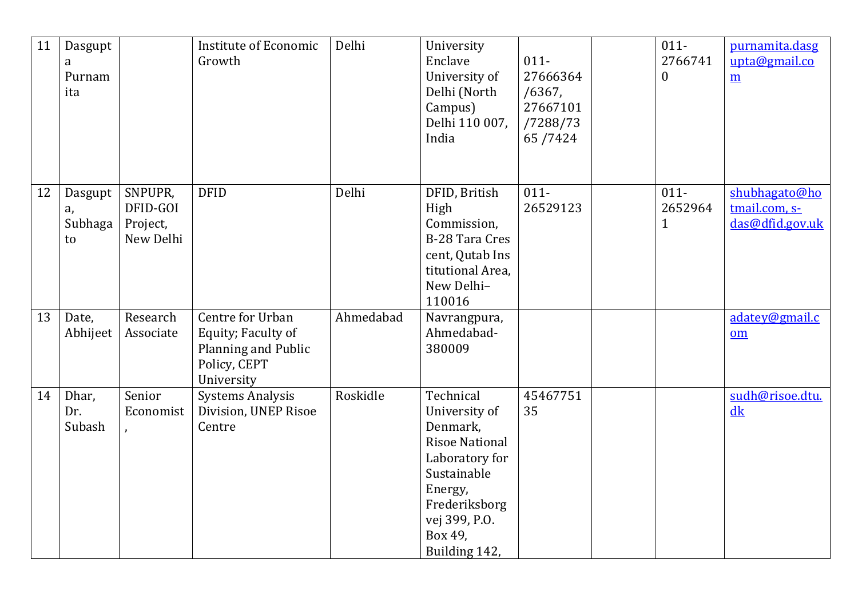| 11 | Dasgupt<br>a<br>Purnam<br>ita  |                                              | <b>Institute of Economic</b><br>Growth                                                      | Delhi     | University<br>Enclave<br>University of<br>Delhi (North<br>Campus)<br>Delhi 110 007,<br>India                                                                              | $011 -$<br>27666364<br>/6367,<br>27667101<br>/7288/73<br>65/7424 | $011 -$<br>2766741<br>$\boldsymbol{0}$ | purnamita.dasg<br>upta@gmail.co<br>$\underline{m}$ |
|----|--------------------------------|----------------------------------------------|---------------------------------------------------------------------------------------------|-----------|---------------------------------------------------------------------------------------------------------------------------------------------------------------------------|------------------------------------------------------------------|----------------------------------------|----------------------------------------------------|
| 12 | Dasgupt<br>a,<br>Subhaga<br>to | SNPUPR,<br>DFID-GOI<br>Project,<br>New Delhi | <b>DFID</b>                                                                                 | Delhi     | DFID, British<br>High<br>Commission,<br><b>B-28 Tara Cres</b><br>cent, Qutab Ins<br>titutional Area,<br>New Delhi-<br>110016                                              | $011 -$<br>26529123                                              | $011 -$<br>2652964<br>$\mathbf{1}$     | shubhagato@ho<br>tmail.com, s-<br>das@dfid.gov.uk  |
| 13 | Date,<br>Abhijeet              | Research<br>Associate                        | Centre for Urban<br>Equity; Faculty of<br>Planning and Public<br>Policy, CEPT<br>University | Ahmedabad | Navrangpura,<br>Ahmedabad-<br>380009                                                                                                                                      |                                                                  |                                        | adatey@gmail.c<br>$om$                             |
| 14 | Dhar,<br>Dr.<br>Subash         | Senior<br>Economist                          | <b>Systems Analysis</b><br>Division, UNEP Risoe<br>Centre                                   | Roskidle  | Technical<br>University of<br>Denmark,<br><b>Risoe National</b><br>Laboratory for<br>Sustainable<br>Energy,<br>Frederiksborg<br>vej 399, P.O.<br>Box 49,<br>Building 142, | 45467751<br>35                                                   |                                        | sudh@risoe.dtu.<br>dk                              |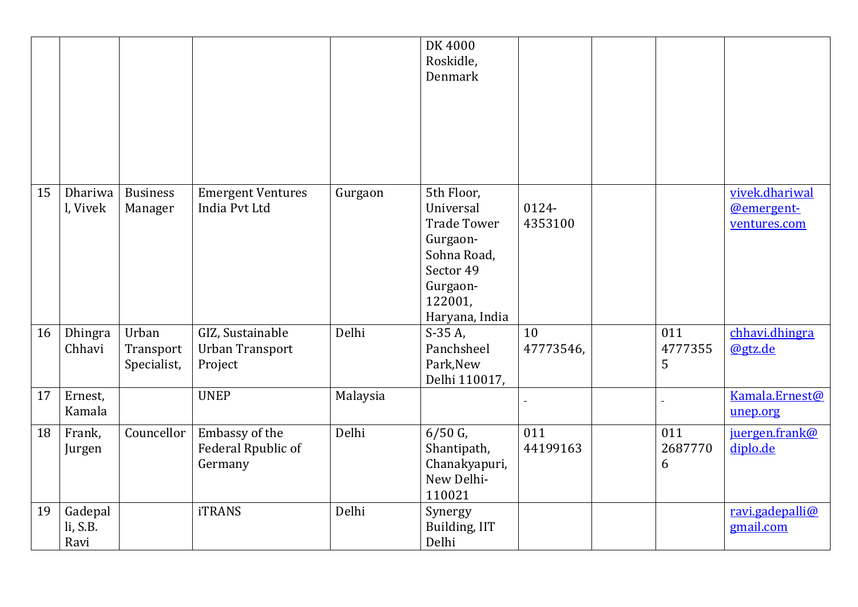|    |                             |                                   |                                                       |          | DK 4000<br>Roskidle,<br>Denmark                                                                                                |                  |                     |                                              |
|----|-----------------------------|-----------------------------------|-------------------------------------------------------|----------|--------------------------------------------------------------------------------------------------------------------------------|------------------|---------------------|----------------------------------------------|
| 15 | Dhariwa<br>l, Vivek         | <b>Business</b><br>Manager        | <b>Emergent Ventures</b><br>India Pvt Ltd             | Gurgaon  | 5th Floor,<br>Universal<br><b>Trade Tower</b><br>Gurgaon-<br>Sohna Road,<br>Sector 49<br>Gurgaon-<br>122001,<br>Haryana, India | 0124-<br>4353100 |                     | vivek.dhariwal<br>@emergent-<br>ventures.com |
| 16 | Dhingra<br>Chhavi           | Urban<br>Transport<br>Specialist, | GIZ, Sustainable<br><b>Urban Transport</b><br>Project | Delhi    | $S-35A$ ,<br>Panchsheel<br>Park, New<br>Delhi 110017,                                                                          | 10<br>47773546,  | 011<br>4777355<br>5 | chhavi.dhingra<br>@gtz.de                    |
| 17 | Ernest,<br>Kamala           |                                   | <b>UNEP</b>                                           | Malaysia |                                                                                                                                |                  |                     | Kamala.Ernest@<br>unep.org                   |
| 18 | Frank,<br>Jurgen            | Councellor                        | Embassy of the<br>Federal Rpublic of<br>Germany       | Delhi    | $6/50$ G,<br>Shantipath,<br>Chanakyapuri,<br>New Delhi-<br>110021                                                              | 011<br>44199163  | 011<br>2687770<br>6 | juergen.frank@<br>diplo.de                   |
| 19 | Gadepal<br>li, S.B.<br>Ravi |                                   | <b>iTRANS</b>                                         | Delhi    | Synergy<br>Building, IIT<br>Delhi                                                                                              |                  |                     | ravi.gadepalli@<br>gmail.com                 |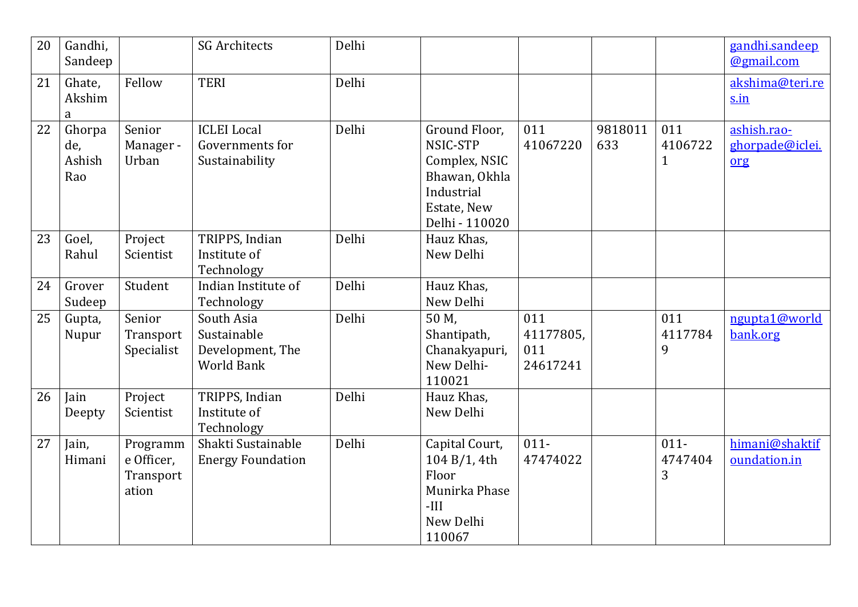| 20 | Gandhi,<br>Sandeep             |                                              | <b>SG Architects</b>                                               | Delhi |                                                                                                            |                                     |                |                                | gandhi.sandeep<br>@gmail.com          |
|----|--------------------------------|----------------------------------------------|--------------------------------------------------------------------|-------|------------------------------------------------------------------------------------------------------------|-------------------------------------|----------------|--------------------------------|---------------------------------------|
| 21 | Ghate,<br>Akshim<br>a          | Fellow                                       | <b>TERI</b>                                                        | Delhi |                                                                                                            |                                     |                |                                | akshima@teri.re<br>s.in               |
| 22 | Ghorpa<br>de,<br>Ashish<br>Rao | Senior<br>Manager -<br>Urban                 | <b>ICLEI</b> Local<br>Governments for<br>Sustainability            | Delhi | Ground Floor,<br>NSIC-STP<br>Complex, NSIC<br>Bhawan, Okhla<br>Industrial<br>Estate, New<br>Delhi - 110020 | 011<br>41067220                     | 9818011<br>633 | 011<br>4106722<br>$\mathbf{1}$ | ashish.rao-<br>ghorpade@iclei.<br>org |
| 23 | Goel,<br>Rahul                 | Project<br>Scientist                         | TRIPPS, Indian<br>Institute of<br>Technology                       | Delhi | Hauz Khas,<br>New Delhi                                                                                    |                                     |                |                                |                                       |
| 24 | Grover<br>Sudeep               | Student                                      | Indian Institute of<br>Technology                                  | Delhi | Hauz Khas,<br>New Delhi                                                                                    |                                     |                |                                |                                       |
| 25 | Gupta,<br>Nupur                | Senior<br>Transport<br>Specialist            | South Asia<br>Sustainable<br>Development, The<br><b>World Bank</b> | Delhi | 50 M,<br>Shantipath,<br>Chanakyapuri,<br>New Delhi-<br>110021                                              | 011<br>41177805,<br>011<br>24617241 |                | 011<br>4117784<br>9            | ngupta1@world<br>bank.org             |
| 26 | Jain<br>Deepty                 | Project<br>Scientist                         | TRIPPS, Indian<br>Institute of<br>Technology                       | Delhi | Hauz Khas,<br>New Delhi                                                                                    |                                     |                |                                |                                       |
| 27 | Jain,<br>Himani                | Programm<br>e Officer,<br>Transport<br>ation | Shakti Sustainable<br><b>Energy Foundation</b>                     | Delhi | Capital Court,<br>104 B/1, 4th<br>Floor<br>Munirka Phase<br>$-III$<br>New Delhi<br>110067                  | $011 -$<br>47474022                 |                | $011 -$<br>4747404<br>3        | himani@shaktif<br>oundation.in        |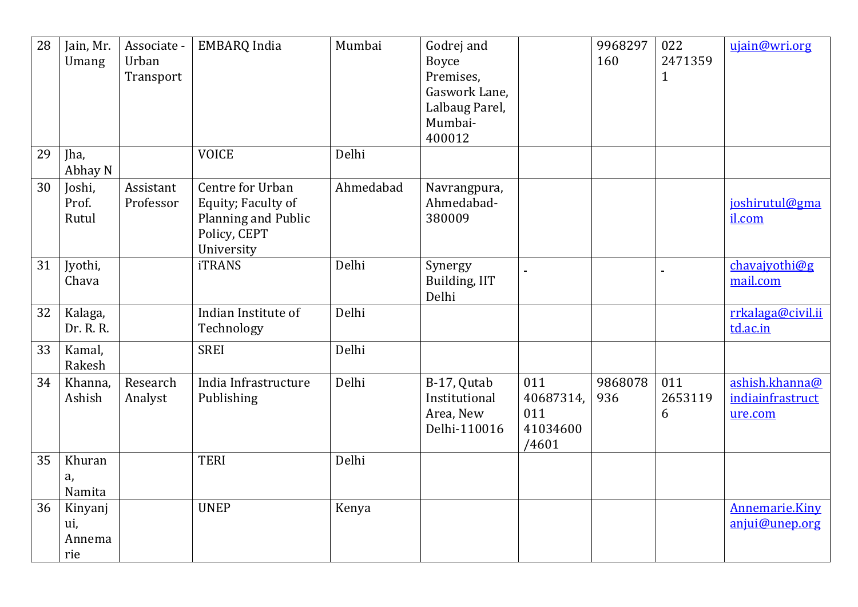| 28 | Jain, Mr.<br>Umang              | Associate -<br>Urban<br>Transport | <b>EMBARQ</b> India                                                                         | Mumbai    | Godrej and<br><b>Boyce</b><br>Premises,<br>Gaswork Lane,<br>Lalbaug Parel,<br>Mumbai-<br>400012 |                                              | 9968297<br>160 | 022<br>2471359<br>$\mathbf{1}$ | ujain@wri.org                                 |
|----|---------------------------------|-----------------------------------|---------------------------------------------------------------------------------------------|-----------|-------------------------------------------------------------------------------------------------|----------------------------------------------|----------------|--------------------------------|-----------------------------------------------|
| 29 | Jha,<br>Abhay N                 |                                   | <b>VOICE</b>                                                                                | Delhi     |                                                                                                 |                                              |                |                                |                                               |
| 30 | Joshi,<br>Prof.<br>Rutul        | Assistant<br>Professor            | Centre for Urban<br>Equity; Faculty of<br>Planning and Public<br>Policy, CEPT<br>University | Ahmedabad | Navrangpura,<br>Ahmedabad-<br>380009                                                            |                                              |                |                                | joshirutul@gma<br>il.com                      |
| 31 | Jyothi,<br>Chava                |                                   | <b>iTRANS</b>                                                                               | Delhi     | Synergy<br>Building, IIT<br>Delhi                                                               |                                              |                |                                | chavajyothi@g<br>mail.com                     |
| 32 | Kalaga,<br>Dr. R. R.            |                                   | Indian Institute of<br>Technology                                                           | Delhi     |                                                                                                 |                                              |                |                                | rrkalaga@civil.ii<br>td.ac.in                 |
| 33 | Kamal,<br>Rakesh                |                                   | <b>SREI</b>                                                                                 | Delhi     |                                                                                                 |                                              |                |                                |                                               |
| 34 | Khanna,<br>Ashish               | Research<br>Analyst               | India Infrastructure<br>Publishing                                                          | Delhi     | B-17, Qutab<br>Institutional<br>Area, New<br>Delhi-110016                                       | 011<br>40687314,<br>011<br>41034600<br>/4601 | 9868078<br>936 | 011<br>2653119<br>6            | ashish.khanna@<br>indiainfrastruct<br>ure.com |
| 35 | Khuran<br>a,<br>Namita          |                                   | <b>TERI</b>                                                                                 | Delhi     |                                                                                                 |                                              |                |                                |                                               |
| 36 | Kinyanj<br>ui,<br>Annema<br>rie |                                   | <b>UNEP</b>                                                                                 | Kenya     |                                                                                                 |                                              |                |                                | <b>Annemarie.Kiny</b><br>anjui@unep.org       |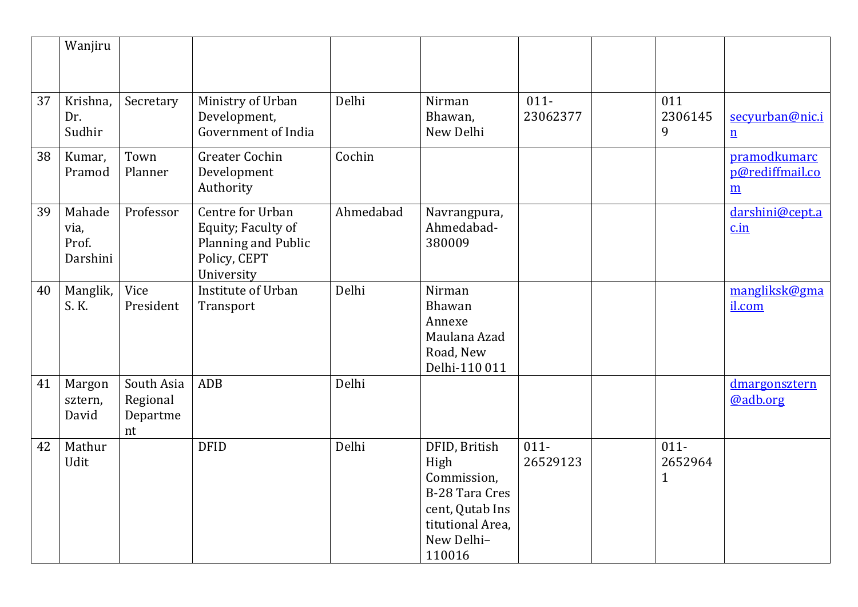|    | Wanjiru                             |                                          |                                                                                             |           |                                                                                                                              |                     |                                    |                                                    |
|----|-------------------------------------|------------------------------------------|---------------------------------------------------------------------------------------------|-----------|------------------------------------------------------------------------------------------------------------------------------|---------------------|------------------------------------|----------------------------------------------------|
| 37 | Krishna,<br>Dr.<br>Sudhir           | Secretary                                | Ministry of Urban<br>Development,<br>Government of India                                    | Delhi     | Nirman<br>Bhawan,<br>New Delhi                                                                                               | $011 -$<br>23062377 | 011<br>2306145<br>9                | secyurban@nic.i<br>$\underline{\mathbf{n}}$        |
| 38 | Kumar,<br>Pramod                    | Town<br>Planner                          | <b>Greater Cochin</b><br>Development<br>Authority                                           | Cochin    |                                                                                                                              |                     |                                    | pramodkumarc<br>p@rediffmail.co<br>$\underline{m}$ |
| 39 | Mahade<br>via,<br>Prof.<br>Darshini | Professor                                | Centre for Urban<br>Equity; Faculty of<br>Planning and Public<br>Policy, CEPT<br>University | Ahmedabad | Navrangpura,<br>Ahmedabad-<br>380009                                                                                         |                     |                                    | darshini@cept.a<br>c.in                            |
| 40 | Manglik,<br>S. K.                   | Vice<br>President                        | Institute of Urban<br>Transport                                                             | Delhi     | Nirman<br>Bhawan<br>Annexe<br>Maulana Azad<br>Road, New<br>Delhi-110 011                                                     |                     |                                    | mangliksk@gma<br>il.com                            |
| 41 | Margon<br>sztern,<br>David          | South Asia<br>Regional<br>Departme<br>nt | <b>ADB</b>                                                                                  | Delhi     |                                                                                                                              |                     |                                    | dmargonsztern<br>@adb.org                          |
| 42 | Mathur<br>Udit                      |                                          | <b>DFID</b>                                                                                 | Delhi     | DFID, British<br>High<br>Commission,<br><b>B-28 Tara Cres</b><br>cent, Qutab Ins<br>titutional Area,<br>New Delhi-<br>110016 | $011 -$<br>26529123 | $011 -$<br>2652964<br>$\mathbf{1}$ |                                                    |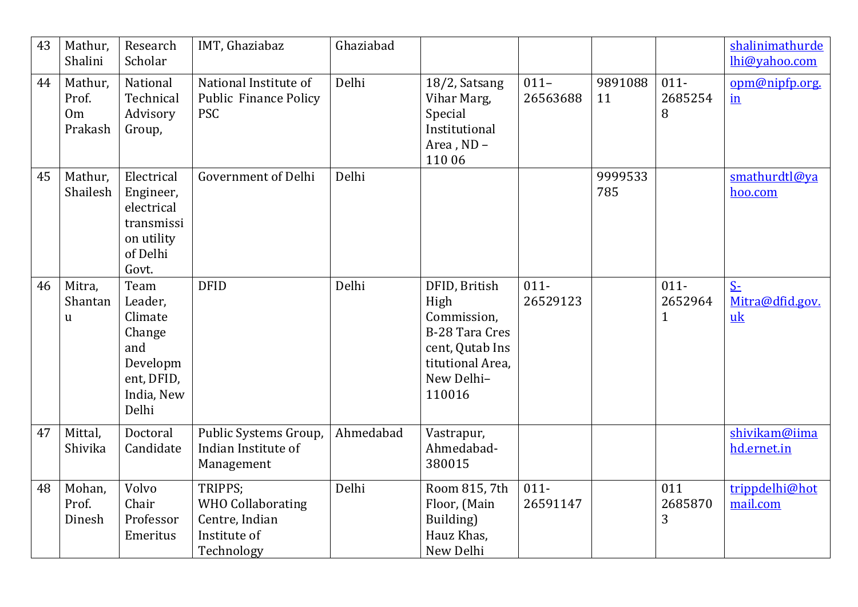| 43 | Mathur,<br>Shalini                            | Research<br>Scholar                                                                          | IMT, Ghaziabaz                                                                      | Ghaziabad |                                                                                                                              |                     |                |                                    | shalinimathurde<br>lhi@yahoo.com          |
|----|-----------------------------------------------|----------------------------------------------------------------------------------------------|-------------------------------------------------------------------------------------|-----------|------------------------------------------------------------------------------------------------------------------------------|---------------------|----------------|------------------------------------|-------------------------------------------|
| 44 | Mathur,<br>Prof.<br>0 <sub>m</sub><br>Prakash | National<br>Technical<br>Advisory<br>Group,                                                  | National Institute of<br><b>Public Finance Policy</b><br><b>PSC</b>                 | Delhi     | 18/2, Satsang<br>Vihar Marg,<br>Special<br>Institutional<br>Area, ND-<br>110 06                                              | $011 -$<br>26563688 | 9891088<br>11  | $011 -$<br>2685254<br>8            | opm@nipfp.org.<br>$\underline{\text{in}}$ |
| 45 | Mathur,<br>Shailesh                           | Electrical<br>Engineer,<br>electrical<br>transmissi<br>on utility<br>of Delhi<br>Govt.       | <b>Government of Delhi</b>                                                          | Delhi     |                                                                                                                              |                     | 9999533<br>785 |                                    | smathurdtl@ya<br>hoo.com                  |
| 46 | Mitra,<br>Shantan<br>$\mathbf u$              | Team<br>Leader,<br>Climate<br>Change<br>and<br>Developm<br>ent, DFID,<br>India, New<br>Delhi | <b>DFID</b>                                                                         | Delhi     | DFID, British<br>High<br>Commission,<br><b>B-28 Tara Cres</b><br>cent, Qutab Ins<br>titutional Area,<br>New Delhi-<br>110016 | $011 -$<br>26529123 |                | $011 -$<br>2652964<br>$\mathbf{1}$ | $S-$<br>Mitra@dfid.gov.<br>uk             |
| 47 | Mittal,<br>Shivika                            | Doctoral<br>Candidate                                                                        | Public Systems Group,<br>Indian Institute of<br>Management                          | Ahmedabad | Vastrapur,<br>Ahmedabad-<br>380015                                                                                           |                     |                |                                    | shivikam@iima<br>hd.ernet.in              |
| 48 | Mohan,<br>Prof.<br>Dinesh                     | Volvo<br>Chair<br>Professor<br>Emeritus                                                      | TRIPPS;<br><b>WHO Collaborating</b><br>Centre, Indian<br>Institute of<br>Technology | Delhi     | Room 815, 7th<br>Floor, (Main<br>Building)<br>Hauz Khas,<br>New Delhi                                                        | $011 -$<br>26591147 |                | 011<br>2685870<br>3                | trippdelhi@hot<br>mail.com                |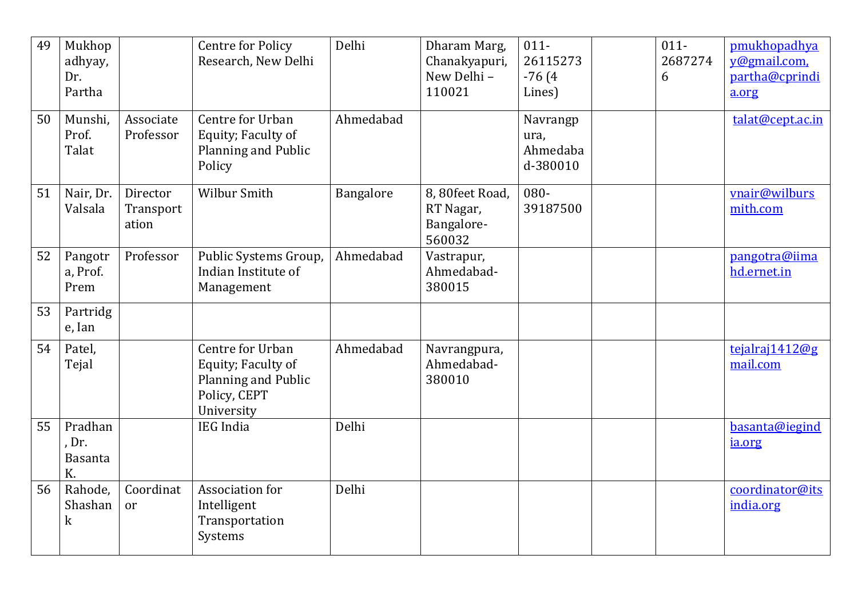| 49 | Mukhop<br>adhyay,<br>Dr.<br>Partha |                                | <b>Centre for Policy</b><br>Research, New Delhi                                             | Delhi     | Dharam Marg,<br>Chanakyapuri,<br>New Delhi -<br>110021 | $011 -$<br>26115273<br>$-76(4)$<br>Lines) | $011 -$<br>2687274<br>6 | pmukhopadhya<br>y@gmail.com,<br>partha@cprindi<br>a.org |
|----|------------------------------------|--------------------------------|---------------------------------------------------------------------------------------------|-----------|--------------------------------------------------------|-------------------------------------------|-------------------------|---------------------------------------------------------|
| 50 | Munshi,<br>Prof.<br>Talat          | Associate<br>Professor         | Centre for Urban<br>Equity; Faculty of<br>Planning and Public<br>Policy                     | Ahmedabad |                                                        | Navrangp<br>ura,<br>Ahmedaba<br>d-380010  |                         | talat@cept.ac.in                                        |
| 51 | Nair, Dr.<br>Valsala               | Director<br>Transport<br>ation | <b>Wilbur Smith</b>                                                                         | Bangalore | 8, 80feet Road,<br>RT Nagar,<br>Bangalore-<br>560032   | 080-<br>39187500                          |                         | vnair@wilburs<br>mith.com                               |
| 52 | Pangotr<br>a, Prof.<br>Prem        | Professor                      | Public Systems Group,<br>Indian Institute of<br>Management                                  | Ahmedabad | Vastrapur,<br>Ahmedabad-<br>380015                     |                                           |                         | pangotra@iima<br>hd.ernet.in                            |
| 53 | Partridg<br>e, Ian                 |                                |                                                                                             |           |                                                        |                                           |                         |                                                         |
| 54 | Patel,<br>Tejal                    |                                | Centre for Urban<br>Equity; Faculty of<br>Planning and Public<br>Policy, CEPT<br>University | Ahmedabad | Navrangpura,<br>Ahmedabad-<br>380010                   |                                           |                         | tejalraj1412@g<br>mail.com                              |
| 55 | Pradhan<br>, Dr.<br>Basanta<br>K.  |                                | <b>IEG</b> India                                                                            | Delhi     |                                                        |                                           |                         | basanta@iegind<br>ia.org                                |
| 56 | Rahode,<br>Shashan<br>$\mathbf k$  | Coordinat<br><sub>or</sub>     | Association for<br>Intelligent<br>Transportation<br>Systems                                 | Delhi     |                                                        |                                           |                         | coordinator@its<br>india.org                            |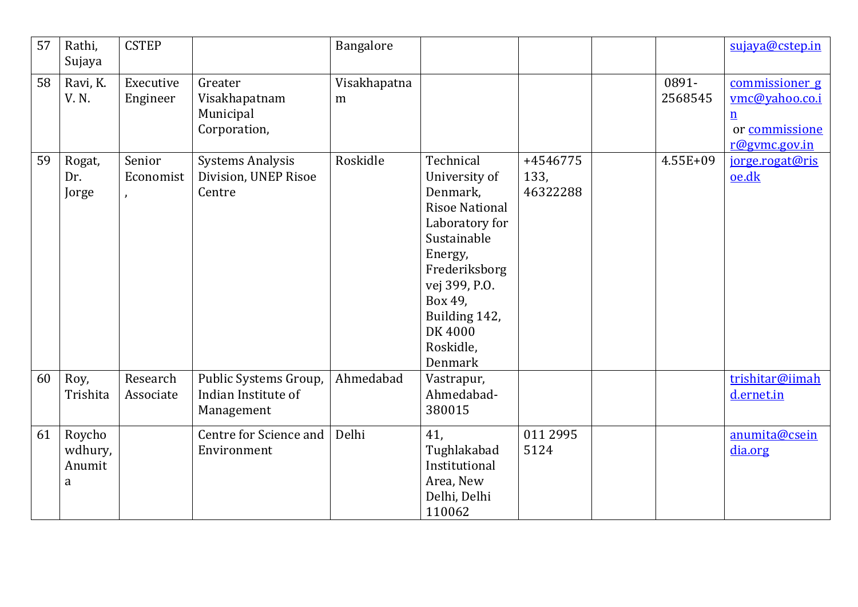| 57 | Rathi,<br>Sujaya                 | <b>CSTEP</b>          |                                                            | Bangalore         |                                                                                                                                                                                                              |                              |                  | sujaya@cstep.in                                                                        |
|----|----------------------------------|-----------------------|------------------------------------------------------------|-------------------|--------------------------------------------------------------------------------------------------------------------------------------------------------------------------------------------------------------|------------------------------|------------------|----------------------------------------------------------------------------------------|
| 58 | Ravi, K.<br>V. N.                | Executive<br>Engineer | Greater<br>Visakhapatnam<br>Municipal<br>Corporation,      | Visakhapatna<br>m |                                                                                                                                                                                                              |                              | 0891-<br>2568545 | commissioner g<br>vmc@yahoo.co.i<br>$\underline{n}$<br>or commissione<br>r@gymc.gov.in |
| 59 | Rogat,<br>Dr.<br>Jorge           | Senior<br>Economist   | <b>Systems Analysis</b><br>Division, UNEP Risoe<br>Centre  | Roskidle          | Technical<br>University of<br>Denmark,<br><b>Risoe National</b><br>Laboratory for<br>Sustainable<br>Energy,<br>Frederiksborg<br>vej 399, P.O.<br>Box 49,<br>Building 142,<br>DK 4000<br>Roskidle,<br>Denmark | +4546775<br>133,<br>46322288 | 4.55E+09         | jorge.rogat@ris<br>oe.dk                                                               |
| 60 | Roy,<br>Trishita                 | Research<br>Associate | Public Systems Group,<br>Indian Institute of<br>Management | Ahmedabad         | Vastrapur,<br>Ahmedabad-<br>380015                                                                                                                                                                           |                              |                  | trishitar@iimah<br>d.ernet.in                                                          |
| 61 | Roycho<br>wdhury,<br>Anumit<br>a |                       | Centre for Science and<br>Environment                      | Delhi             | 41,<br>Tughlakabad<br>Institutional<br>Area, New<br>Delhi, Delhi<br>110062                                                                                                                                   | 011 2995<br>5124             |                  | anumita@csein<br>dia.org                                                               |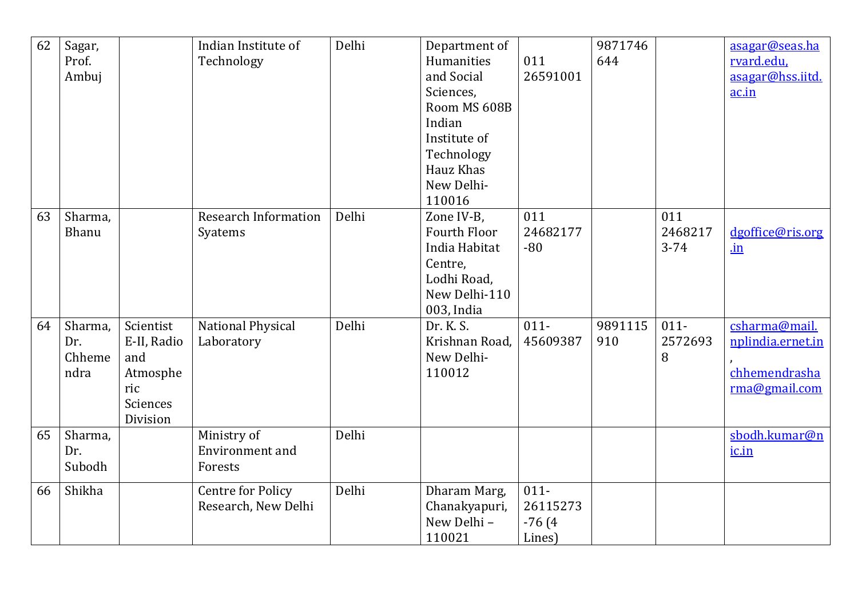| 62 | Sagar,<br>Prof.<br>Ambuj         |                                                                                   | Indian Institute of<br>Technology                | Delhi | Department of<br>Humanities<br>and Social<br>Sciences,<br>Room MS 608B<br>Indian<br>Institute of<br>Technology<br>Hauz Khas<br>New Delhi-<br>110016 | 011<br>26591001                           | 9871746<br>644 |                            | asagar@seas.ha<br>rvard.edu.<br>asagar@hss.iitd.<br>ac.in            |
|----|----------------------------------|-----------------------------------------------------------------------------------|--------------------------------------------------|-------|-----------------------------------------------------------------------------------------------------------------------------------------------------|-------------------------------------------|----------------|----------------------------|----------------------------------------------------------------------|
| 63 | Sharma,<br>Bhanu                 |                                                                                   | <b>Research Information</b><br>Syatems           | Delhi | Zone IV-B,<br><b>Fourth Floor</b><br>India Habitat<br>Centre,<br>Lodhi Road,<br>New Delhi-110<br>003, India                                         | 011<br>24682177<br>$-80$                  |                | 011<br>2468217<br>$3 - 74$ | dgoffice@ris.org<br>$\mathbf{in}$                                    |
| 64 | Sharma,<br>Dr.<br>Chheme<br>ndra | Scientist<br>E-II, Radio<br>and<br>Atmosphe<br>ric<br><b>Sciences</b><br>Division | National Physical<br>Laboratory                  | Delhi | Dr. K. S.<br>Krishnan Road,<br>New Delhi-<br>110012                                                                                                 | $011 -$<br>45609387                       | 9891115<br>910 | $011 -$<br>2572693<br>8    | csharma@mail.<br>nplindia.ernet.in<br>chhemendrasha<br>rma@gmail.com |
| 65 | Sharma,<br>Dr.<br>Subodh         |                                                                                   | Ministry of<br><b>Environment</b> and<br>Forests | Delhi |                                                                                                                                                     |                                           |                |                            | sbodh.kumar@n<br>ic.in                                               |
| 66 | Shikha                           |                                                                                   | <b>Centre for Policy</b><br>Research, New Delhi  | Delhi | Dharam Marg,<br>Chanakyapuri,<br>New Delhi-<br>110021                                                                                               | $011 -$<br>26115273<br>$-76(4)$<br>Lines) |                |                            |                                                                      |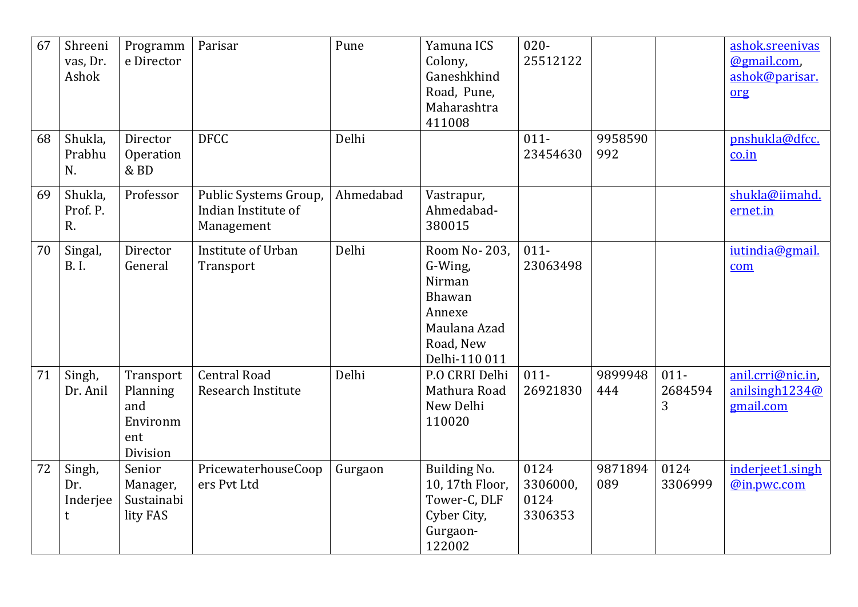| 67 | Shreeni<br>vas, Dr.<br>Ashok   | Programm<br>e Director                                      | Parisar                                                    | Pune      | Yamuna ICS<br>Colony,<br>Ganeshkhind<br>Road, Pune,<br>Maharashtra<br>411008                         | $020 -$<br>25512122                 |                |                         | ashok.sreenivas<br>@gmail.com,<br>ashok@parisar.<br>org |
|----|--------------------------------|-------------------------------------------------------------|------------------------------------------------------------|-----------|------------------------------------------------------------------------------------------------------|-------------------------------------|----------------|-------------------------|---------------------------------------------------------|
| 68 | Shukla,<br>Prabhu<br>N.        | Director<br>Operation<br>& BD                               | <b>DFCC</b>                                                | Delhi     |                                                                                                      | $011 -$<br>23454630                 | 9958590<br>992 |                         | pnshukla@dfcc.<br>$\frac{\text{co.in}}{\text{co.in}}$   |
| 69 | Shukla,<br>Prof. P.<br>R.      | Professor                                                   | Public Systems Group,<br>Indian Institute of<br>Management | Ahmedabad | Vastrapur,<br>Ahmedabad-<br>380015                                                                   |                                     |                |                         | shukla@iimahd.<br>ernet.in                              |
| 70 | Singal,<br><b>B.I.</b>         | Director<br>General                                         | Institute of Urban<br>Transport                            | Delhi     | Room No- 203,<br>G-Wing,<br>Nirman<br>Bhawan<br>Annexe<br>Maulana Azad<br>Road, New<br>Delhi-110 011 | $011 -$<br>23063498                 |                |                         | iutindia@gmail.<br>com                                  |
| 71 | Singh,<br>Dr. Anil             | Transport<br>Planning<br>and<br>Environm<br>ent<br>Division | <b>Central Road</b><br>Research Institute                  | Delhi     | P.O CRRI Delhi<br>Mathura Road<br>New Delhi<br>110020                                                | $011 -$<br>26921830                 | 9899948<br>444 | $011 -$<br>2684594<br>3 | anil.crri@nic.in,<br>anilsingh1234@<br>gmail.com        |
| 72 | Singh,<br>Dr.<br>Inderjee<br>t | Senior<br>Manager,<br>Sustainabi<br>lity FAS                | PricewaterhouseCoop<br>ers Pvt Ltd                         | Gurgaon   | Building No.<br>10, 17th Floor,<br>Tower-C, DLF<br>Cyber City,<br>Gurgaon-<br>122002                 | 0124<br>3306000,<br>0124<br>3306353 | 9871894<br>089 | 0124<br>3306999         | inderjeet1.singh<br>@in.pwc.com                         |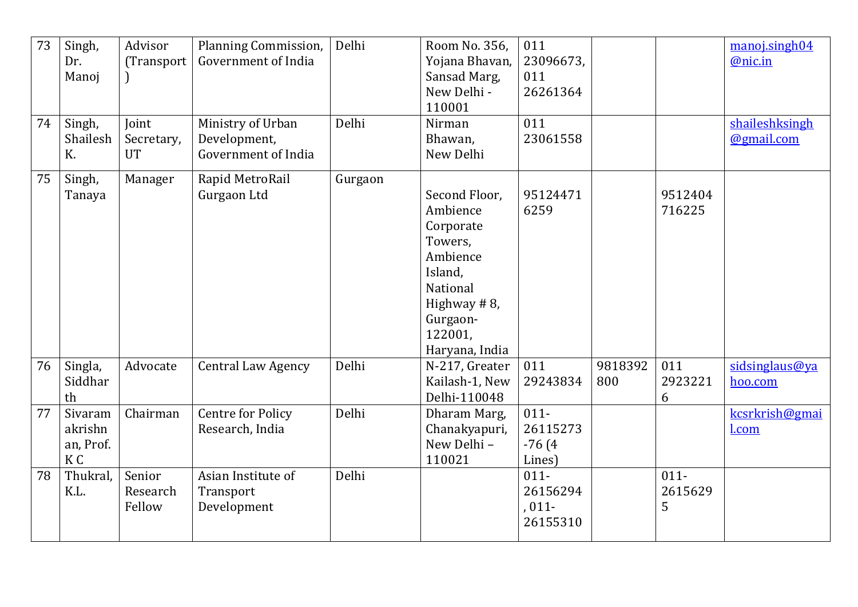| 73<br>74 | Singh,<br>Dr.<br>Manoj<br>Singh,<br>Shailesh<br>K. | Advisor<br>(Transport<br>Joint<br>Secretary,<br><b>UT</b> | Planning Commission,<br>Government of India<br>Ministry of Urban<br>Development,<br>Government of India | Delhi<br>Delhi | Room No. 356,<br>Yojana Bhavan,<br>Sansad Marg,<br>New Delhi -<br>110001<br>Nirman<br>Bhawan,<br>New Delhi                                   | 011<br>23096673,<br>011<br>26261364<br>011<br>23061558 |                |                         | manoj.singh04<br>@nic.in<br>shaileshksingh<br>@gmail.com |
|----------|----------------------------------------------------|-----------------------------------------------------------|---------------------------------------------------------------------------------------------------------|----------------|----------------------------------------------------------------------------------------------------------------------------------------------|--------------------------------------------------------|----------------|-------------------------|----------------------------------------------------------|
| 75       | Singh,<br>Tanaya                                   | Manager                                                   | Rapid MetroRail<br>Gurgaon Ltd                                                                          | Gurgaon        | Second Floor,<br>Ambience<br>Corporate<br>Towers,<br>Ambience<br>Island,<br>National<br>Highway #8,<br>Gurgaon-<br>122001,<br>Haryana, India | 95124471<br>6259                                       |                | 9512404<br>716225       |                                                          |
| 76       | Singla,<br>Siddhar<br>th                           | Advocate                                                  | <b>Central Law Agency</b>                                                                               | Delhi          | N-217, Greater<br>Kailash-1, New<br>Delhi-110048                                                                                             | 011<br>29243834                                        | 9818392<br>800 | 011<br>2923221<br>6     | sidsinglaus@ya<br>hoo.com                                |
| 77       | Sivaram<br>akrishn<br>an, Prof.<br>K <sub>C</sub>  | Chairman                                                  | <b>Centre for Policy</b><br>Research, India                                                             | Delhi          | Dharam Marg,<br>Chanakyapuri,<br>New Delhi -<br>110021                                                                                       | $011 -$<br>26115273<br>$-76(4)$<br>Lines)              |                |                         | kcsrkrish@gmai<br>l.com                                  |
| 78       | Thukral,<br>K.L.                                   | Senior<br>Research<br>Fellow                              | Asian Institute of<br>Transport<br>Development                                                          | Delhi          |                                                                                                                                              | $011 -$<br>26156294<br>$,011-$<br>26155310             |                | $011 -$<br>2615629<br>5 |                                                          |